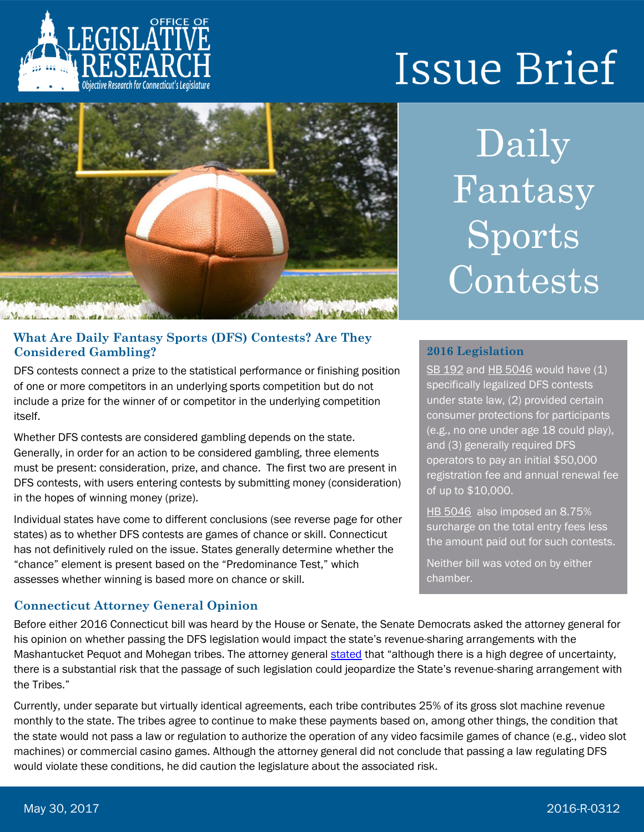

# **Issue Brief**



## **What Are Daily Fantasy Sports (DFS) Contests? Are They Considered Gambling?**

DFS contests connect a prize to the statistical performance or finishing position of one or more competitors in an underlying sports competition but do not include a prize for the winner of or competitor in the underlying competition itself.

Whether DFS contests are considered gambling depends on the state. Generally, in order for an action to be considered gambling, three elements must be present: consideration, prize, and chance. The first two are present in DFS contests, with users entering contests by submitting money (consideration) in the hopes of winning money (prize).

Individual states have come to different conclusions (see reverse page for other states) as to whether DFS contests are games of chance or skill. Connecticut has not definitively ruled on the issue. States generally determine whether the "chance" element is present based on the "Predominance Test," which assesses whether winning is based more on chance or skill.

## **Connecticut Attorney General Opinion**

Daily Fantasy Sports Contests

## **2016 Legislation**

[SB 192](https://www.cga.ct.gov/asp/cgabillstatus/cgabillstatus.asp?selBillType=Bill&which_year=2016&bill_num=192) and [HB 5046](https://www.cga.ct.gov/asp/cgabillstatus/cgabillstatus.asp?selBillType=Bill&which_year=2016&bill_num=5046) would have (1) specifically legalized DFS contests under state law, (2) provided certain consumer protections for participants (e.g., no one under age 18 could play), and (3) generally required DFS operators to pay an initial \$50,000 registration fee and annual renewal fee of up to \$10,000.

[HB 5046](https://www.cga.ct.gov/asp/cgabillstatus/cgabillstatus.asp?selBillType=Bill&which_year=2016&bill_num=5046) also imposed an 8.75% surcharge on the total entry fees less the amount paid out for such contests.

Neither bill was voted on by either chamber.

Before either 2016 Connecticut bill was heard by the House or Senate, the Senate Democrats asked the attorney general for his opinion on whether passing the DFS legislation would impact the state's revenue-sharing arrangements with the Mashantucket Pequot and Mohegan tribes. The attorney general [stated](http://www.ct.gov/ag/lib/ag/opinions/2016/2016-03_fantasy_sports_contests.pdf) that "although there is a high degree of uncertainty, there is a substantial risk that the passage of such legislation could jeopardize the State's revenue-sharing arrangement with the Tribes."

Currently, under separate but virtually identical agreements, each tribe contributes 25% of its gross slot machine revenue monthly to the state. The tribes agree to continue to make these payments based on, among other things, the condition that the state would not pass a law or regulation to authorize the operation of any video facsimile games of chance (e.g., video slot machines) or commercial casino games. Although the attorney general did not conclude that passing a law regulating DFS would violate these conditions, he did caution the legislature about the associated risk.